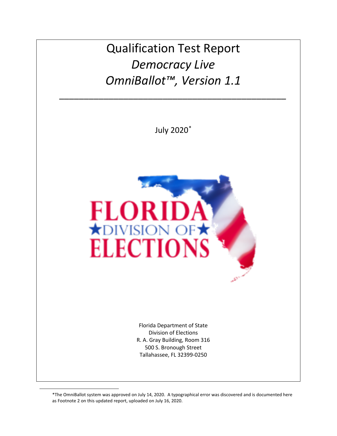Qualification Test Report *Democracy Live OmniBallot™, Version 1.1*

*\_\_\_\_\_\_\_\_\_\_\_\_\_\_\_\_\_\_\_\_\_\_\_\_\_\_\_\_\_\_\_\_\_\_\_\_\_\_\_\_\_\_\_\_\_\_*

July 2020[\\*](#page-0-0)



Florida Department of State Division of Elections R. A. Gray Building, Room 316 500 S. Bronough Street Tallahassee, FL 32399-0250

\*The OmniBallot system was approved on July 14, 2020. A typographical error was discovered and is documented here as Footnote 2 on this updated report, uploaded on July 16, 2020.

<span id="page-0-0"></span>l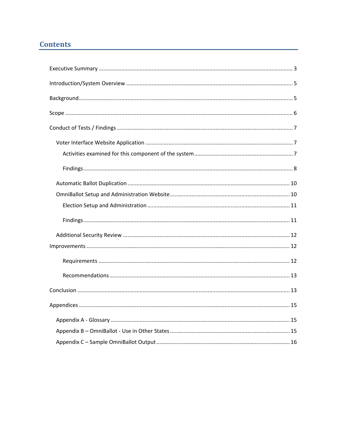# **Contents**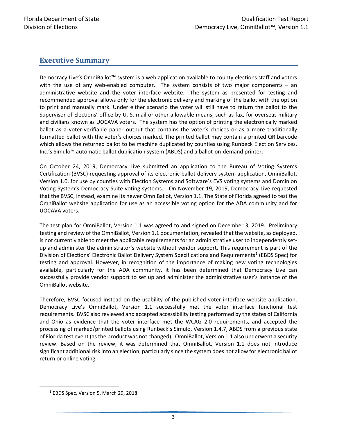### <span id="page-2-0"></span>**Executive Summary**

Democracy Live's OmniBallot™ system is a web application available to county elections staff and voters with the use of any web-enabled computer. The system consists of two major components – an administrative website and the voter interface website. The system as presented for testing and recommended approval allows only for the electronic delivery and marking of the ballot with the option to print and manually mark. Under either scenario the voter will still have to return the ballot to the Supervisor of Elections' office by U. S. mail or other allowable means, such as fax, for overseas military and civilians known as UOCAVA voters. The system has the option of printing the electronically marked ballot as a voter-verifiable paper output that contains the voter's choices or as a more traditionally formatted ballot with the voter's choices marked. The printed ballot may contain a printed QR barcode which allows the returned ballot to be machine duplicated by counties using Runbeck Election Services, Inc.'s Simulo™ automatic ballot duplication system (ABDS) and a ballot-on-demand printer.

On October 24, 2019, Democracy Live submitted an application to the Bureau of Voting Systems Certification (BVSC) requesting approval of its electronic ballot delivery system application, OmniBallot, Version 1.0, for use by counties with Election Systems and Software's EVS voting systems and Dominion Voting System's Democracy Suite voting systems. On November 19, 2019, Democracy Live requested that the BVSC, instead, examine its newer OmniBallot, Version 1.1. The State of Florida agreed to test the OmniBallot website application for use as an accessible voting option for the ADA community and for UOCAVA voters.

The test plan for OmniBallot, Version 1.1 was agreed to and signed on December 3, 2019. Preliminary testing and review of the OmniBallot, Version 1.1 documentation, revealed that the website, as deployed, is not currently able to meet the applicable requirements for an administrative user to independently setup and administer the administrator's website without vendor support. This requirement is part of the Division of Elections' Electronic Ballot Delivery System Specifications and Requirements<sup>[1](#page-2-1)</sup> (EBDS Spec) for testing and approval. However, in recognition of the importance of making new voting technologies available, particularly for the ADA community, it has been determined that Democracy Live can successfully provide vendor support to set up and administer the administrative user's instance of the OmniBallot website.

Therefore, BVSC focused instead on the usability of the published voter interface website application. Democracy Live's OmniBallot, Version 1.1 successfully met the voter interface functional test requirements. BVSC also reviewed and accepted accessibility testing performed by the states of California and Ohio as evidence that the voter interface met the WCAG 2.0 requirements, and accepted the processing of marked/printed ballots using Runbeck's Simulo, Version 1.4.7, ABDS from a previous state of Florida test event (as the product was not changed). OmniBallot, Version 1.1 also underwent a security review. Based on the review, it was determined that OmniBallot, Version 1.1 does not introduce significant additional risk into an election, particularly since the system does not allow for electronic ballot return or online voting.

<span id="page-2-1"></span> <sup>1</sup> EBDS Spec, Version 5, March 29, 2018.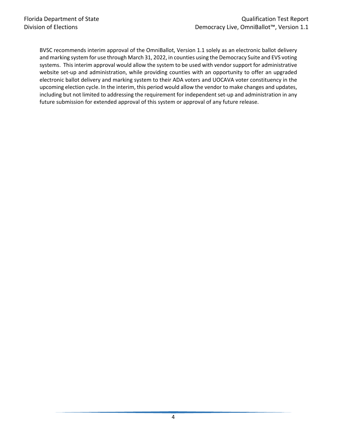BVSC recommends interim approval of the OmniBallot, Version 1.1 solely as an electronic ballot delivery and marking system for use through March 31, 2022, in counties using the Democracy Suite and EVS voting systems. This interim approval would allow the system to be used with vendor support for administrative website set-up and administration, while providing counties with an opportunity to offer an upgraded electronic ballot delivery and marking system to their ADA voters and UOCAVA voter constituency in the upcoming election cycle. In the interim, this period would allow the vendor to make changes and updates, including but not limited to addressing the requirement for independent set-up and administration in any future submission for extended approval of this system or approval of any future release.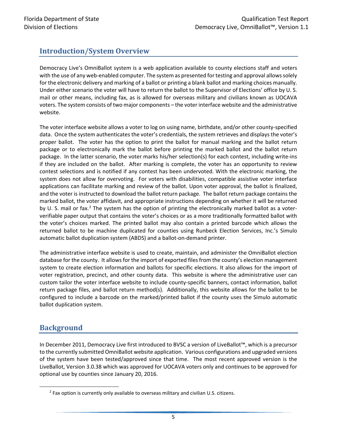# <span id="page-4-0"></span>**Introduction/System Overview**

Democracy Live's OmniBallot system is a web application available to county elections staff and voters with the use of any web-enabled computer. The system as presented for testing and approval allows solely for the electronic delivery and marking of a ballot or printing a blank ballot and marking choices manually. Under either scenario the voter will have to return the ballot to the Supervisor of Elections' office by U. S. mail or other means, including fax, as is allowed for overseas military and civilians known as UOCAVA voters. The system consists of two major components – the voter interface website and the administrative website.

The voter interface website allows a voter to log on using name, birthdate, and/or other county-specified data. Once the system authenticates the voter's credentials, the system retrieves and displays the voter's proper ballot. The voter has the option to print the ballot for manual marking and the ballot return package or to electronically mark the ballot before printing the marked ballot and the ballot return package. In the latter scenario, the voter marks his/her selection(s) for each contest, including write-ins if they are included on the ballot. After marking is complete, the voter has an opportunity to review contest selections and is notified if any contest has been undervoted. With the electronic marking, the system does not allow for overvoting. For voters with disabilities, compatible assistive voter interface applications can facilitate marking and review of the ballot. Upon voter approval, the ballot is finalized, and the voter is instructed to download the ballot return package. The ballot return package contains the marked ballot, the voter affidavit, and appropriate instructions depending on whether it will be returned by U. S. mail or fax.<sup>[2](#page-4-2)</sup> The system has the option of printing the electronically marked ballot as a voterverifiable paper output that contains the voter's choices or as a more traditionally formatted ballot with the voter's choices marked. The printed ballot may also contain a printed barcode which allows the returned ballot to be machine duplicated for counties using Runbeck Election Services, Inc.'s Simulo automatic ballot duplication system (ABDS) and a ballot-on-demand printer.

The administrative interface website is used to create, maintain, and administer the OmniBallot election database for the county. It allows for the import of exported files from the county's election management system to create election information and ballots for specific elections. It also allows for the import of voter registration, precinct, and other county data. This website is where the administrative user can custom tailor the voter interface website to include county-specific banners, contact information, ballot return package files, and ballot return method(s). Additionally, this website allows for the ballot to be configured to include a barcode on the marked/printed ballot if the county uses the Simulo automatic ballot duplication system.

## <span id="page-4-1"></span>**Background**

In December 2011, Democracy Live first introduced to BVSC a version of LiveBallot™, which is a precursor to the currently submitted OmniBallot website application. Various configurations and upgraded versions of the system have been tested/approved since that time. The most recent approved version is the LiveBallot, Version 3.0.38 which was approved for UOCAVA voters only and continues to be approved for optional use by counties since January 20, 2016.

<span id="page-4-2"></span><sup>&</sup>lt;sup>2</sup> Fax option is currently only available to overseas military and civilian U.S. citizens.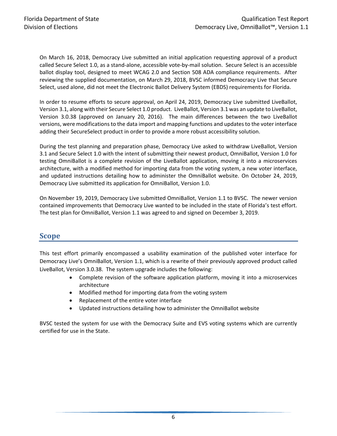On March 16, 2018, Democracy Live submitted an initial application requesting approval of a product called Secure Select 1.0, as a stand-alone, accessible vote-by-mail solution. Secure Select is an accessible ballot display tool, designed to meet WCAG 2.0 and Section 508 ADA compliance requirements. After reviewing the supplied documentation, on March 29, 2018, BVSC informed Democracy Live that Secure Select, used alone, did not meet the Electronic Ballot Delivery System (EBDS) requirements for Florida.

In order to resume efforts to secure approval, on April 24, 2019, Democracy Live submitted LiveBallot, Version 3.1, along with their Secure Select 1.0 product. LiveBallot, Version 3.1 was an update to LiveBallot, Version 3.0.38 (approved on January 20, 2016). The main differences between the two LiveBallot versions, were modifications to the data import and mapping functions and updates to the voter interface adding their SecureSelect product in order to provide a more robust accessibility solution.

During the test planning and preparation phase, Democracy Live asked to withdraw LiveBallot, Version 3.1 and Secure Select 1.0 with the intent of submitting their newest product, OmniBallot, Version 1.0 for testing OmniBallot is a complete revision of the LiveBallot application, moving it into a microservices architecture, with a modified method for importing data from the voting system, a new voter interface, and updated instructions detailing how to administer the OmniBallot website. On October 24, 2019, Democracy Live submitted its application for OmniBallot, Version 1.0.

On November 19, 2019, Democracy Live submitted OmniBallot, Version 1.1 to BVSC. The newer version contained improvements that Democracy Live wanted to be included in the state of Florida's test effort. The test plan for OmniBallot, Version 1.1 was agreed to and signed on December 3, 2019.

## <span id="page-5-0"></span>**Scope**

This test effort primarily encompassed a usability examination of the published voter interface for Democracy Live's OmniBallot, Version 1.1, which is a rewrite of their previously approved product called LiveBallot, Version 3.0.38. The system upgrade includes the following:

- Complete revision of the software application platform, moving it into a microservices architecture
- Modified method for importing data from the voting system
- Replacement of the entire voter interface
- Updated instructions detailing how to administer the OmniBallot website

BVSC tested the system for use with the Democracy Suite and EVS voting systems which are currently certified for use in the State.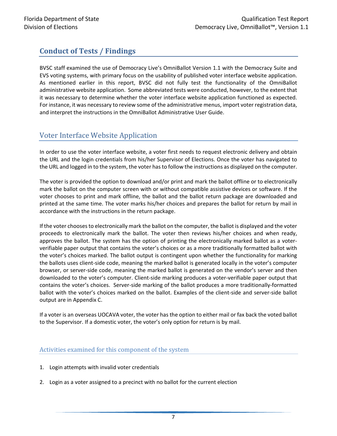# <span id="page-6-0"></span>**Conduct of Tests / Findings**

BVSC staff examined the use of Democracy Live's OmniBallot Version 1.1 with the Democracy Suite and EVS voting systems, with primary focus on the usability of published voter interface website application. As mentioned earlier in this report, BVSC did not fully test the functionality of the OmniBallot administrative website application. Some abbreviated tests were conducted, however, to the extent that it was necessary to determine whether the voter interface website application functioned as expected. For instance, it was necessary to review some of the administrative menus, import voter registration data, and interpret the instructions in the OmniBallot Administrative User Guide.

## <span id="page-6-1"></span>Voter Interface Website Application

In order to use the voter interface website, a voter first needs to request electronic delivery and obtain the URL and the login credentials from his/her Supervisor of Elections. Once the voter has navigated to the URL and logged in to the system, the voter has to follow the instructions as displayed on the computer.

The voter is provided the option to download and/or print and mark the ballot offline or to electronically mark the ballot on the computer screen with or without compatible assistive devices or software. If the voter chooses to print and mark offline, the ballot and the ballot return package are downloaded and printed at the same time. The voter marks his/her choices and prepares the ballot for return by mail in accordance with the instructions in the return package.

If the voter chooses to electronically mark the ballot on the computer, the ballot is displayed and the voter proceeds to electronically mark the ballot. The voter then reviews his/her choices and when ready, approves the ballot. The system has the option of printing the electronically marked ballot as a voterverifiable paper output that contains the voter's choices or as a more traditionally formatted ballot with the voter's choices marked. The ballot output is contingent upon whether the functionality for marking the ballots uses client-side code, meaning the marked ballot is generated locally in the voter's computer browser, or server-side code, meaning the marked ballot is generated on the vendor's server and then downloaded to the voter's computer. Client-side marking produces a voter-verifiable paper output that contains the voter's choices. Server-side marking of the ballot produces a more traditionally-formatted ballot with the voter's choices marked on the ballot. Examples of the client-side and server-side ballot output are in Appendix C.

<span id="page-6-2"></span>If a voter is an overseas UOCAVA voter, the voter has the option to either mail or fax back the voted ballot to the Supervisor. If a domestic voter, the voter's only option for return is by mail.

#### Activities examined for this component of the system

- 1. Login attempts with invalid voter credentials
- 2. Login as a voter assigned to a precinct with no ballot for the current election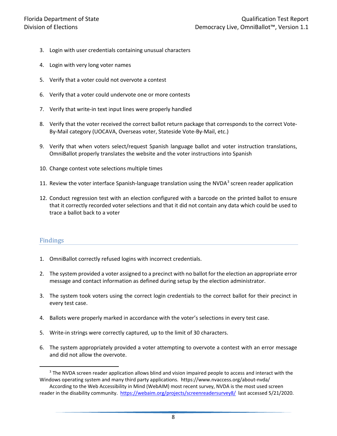- 3. Login with user credentials containing unusual characters
- 4. Login with very long voter names
- 5. Verify that a voter could not overvote a contest
- 6. Verify that a voter could undervote one or more contests
- 7. Verify that write-in text input lines were properly handled
- 8. Verify that the voter received the correct ballot return package that corresponds to the correct Vote-By-Mail category (UOCAVA, Overseas voter, Stateside Vote-By-Mail, etc.)
- 9. Verify that when voters select/request Spanish language ballot and voter instruction translations, OmniBallot properly translates the website and the voter instructions into Spanish
- 10. Change contest vote selections multiple times
- 11. Review the voter interface Spanish-language translation using the NVDA<sup>[3](#page-7-1)</sup> screen reader application
- 12. Conduct regression test with an election configured with a barcode on the printed ballot to ensure that it correctly recorded voter selections and that it did not contain any data which could be used to trace a ballot back to a voter

#### <span id="page-7-0"></span>Findings

- 1. OmniBallot correctly refused logins with incorrect credentials.
- 2. The system provided a voter assigned to a precinct with no ballot for the election an appropriate error message and contact information as defined during setup by the election administrator.
- 3. The system took voters using the correct login credentials to the correct ballot for their precinct in every test case.
- 4. Ballots were properly marked in accordance with the voter's selections in every test case.
- 5. Write-in strings were correctly captured, up to the limit of 30 characters.
- 6. The system appropriately provided a voter attempting to overvote a contest with an error message and did not allow the overvote.

<span id="page-7-1"></span><sup>&</sup>lt;sup>3</sup> The NVDA screen reader application allows blind and vision impaired people to access and interact with the Windows operating system and many third party applications. https://www.nvaccess.org/about-nvda/

According to the Web Accessibility in Mind (WebAIM) most recent survey, NVDA is the most used screen reader in the disability community.<https://webaim.org/projects/screenreadersurvey8/>last accessed 5/21/2020.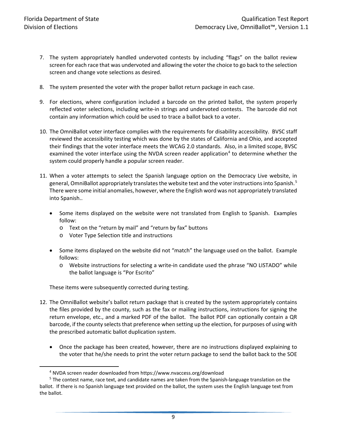- 7. The system appropriately handled undervoted contests by including "flags" on the ballot review screen for each race that was undervoted and allowing the voter the choice to go back to the selection screen and change vote selections as desired.
- 8. The system presented the voter with the proper ballot return package in each case.
- 9. For elections, where configuration included a barcode on the printed ballot, the system properly reflected voter selections, including write-in strings and undervoted contests. The barcode did not contain any information which could be used to trace a ballot back to a voter.
- 10. The OmniBallot voter interface complies with the requirements for disability accessibility. BVSC staff reviewed the accessibility testing which was done by the states of California and Ohio, and accepted their findings that the voter interface meets the WCAG 2.0 standards. Also, in a limited scope, BVSC examined the voter interface using the NVDA screen reader application<sup>[4](#page-8-0)</sup> to determine whether the system could properly handle a popular screen reader.
- 11. When a voter attempts to select the Spanish language option on the Democracy Live website, in general, OmniBallot appropriately translates the website text and the voter instructions into Spanish.<sup>[5](#page-8-1)</sup> There were some initial anomalies, however, where the English word was not appropriately translated into Spanish..
	- Some items displayed on the website were not translated from English to Spanish. Examples follow:
		- o Text on the "return by mail" and "return by fax" buttons
		- o Voter Type Selection title and instructions
	- Some items displayed on the website did not "match" the language used on the ballot. Example follows:
		- o Website instructions for selecting a write-in candidate used the phrase "NO LISTADO" while the ballot language is "Por Escrito"

These items were subsequently corrected during testing.

- 12. The OmniBallot website's ballot return package that is created by the system appropriately contains the files provided by the county, such as the fax or mailing instructions, instructions for signing the return envelope, etc., and a marked PDF of the ballot. The ballot PDF can optionally contain a QR barcode, if the county selects that preference when setting up the election, for purposes of using with the prescribed automatic ballot duplication system.
	- Once the package has been created, however, there are no instructions displayed explaining to the voter that he/she needs to print the voter return package to send the ballot back to the SOE

 <sup>4</sup> NVDA screen reader downloaded from https://www.nvaccess.org/download

<span id="page-8-1"></span><span id="page-8-0"></span><sup>&</sup>lt;sup>5</sup> The contest name, race text, and candidate names are taken from the Spanish-language translation on the ballot. If there is no Spanish language text provided on the ballot, the system uses the English language text from the ballot.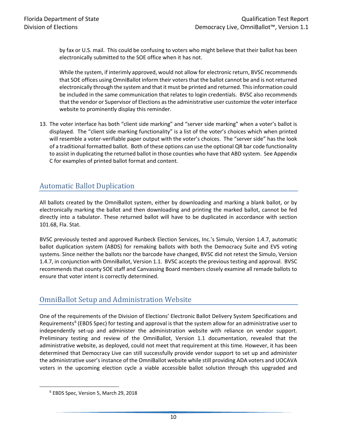by fax or U.S. mail. This could be confusing to voters who might believe that their ballot has been electronically submitted to the SOE office when it has not.

While the system, if interimly approved, would not allow for electronic return, BVSC recommends that SOE offices using OmniBallot inform their voters that the ballot cannot be and is not returned electronically through the system and that it must be printed and returned. This information could be included in the same communication that relates to login credentials. BVSC also recommends that the vendor or Supervisor of Elections as the administrative user customize the voter interface website to prominently display this reminder.

13. The voter interface has both "client side marking" and "server side marking" when a voter's ballot is displayed. The "client side marking functionality" is a list of the voter's choices which when printed will resemble a voter-verifiable paper output with the voter's choices. The "server side" has the look of a traditional formatted ballot. Both of these options can use the optional QR bar code functionality to assist in duplicating the returned ballot in those counties who have that ABD system. See Appendix C for examples of printed ballot format and content.

## <span id="page-9-0"></span>Automatic Ballot Duplication

All ballots created by the OmniBallot system, either by downloading and marking a blank ballot, or by electronically marking the ballot and then downloading and printing the marked ballot, cannot be fed directly into a tabulator. These returned ballot will have to be duplicated in accordance with section 101.68, Fla. Stat.

BVSC previously tested and approved Runbeck Election Services, Inc.'s Simulo, Version 1.4.7, automatic ballot duplication system (ABDS) for remaking ballots with both the Democracy Suite and EVS voting systems. Since neither the ballots nor the barcode have changed, BVSC did not retest the Simulo, Version 1.4.7, in conjunction with OmniBallot, Version 1.1. BVSC accepts the previous testing and approval. BVSC recommends that county SOE staff and Canvassing Board members closely examine all remade ballots to ensure that voter intent is correctly determined.

## <span id="page-9-1"></span>OmniBallot Setup and Administration Website

One of the requirements of the Division of Elections' Electronic Ballot Delivery System Specifications and Requirements<sup>[6](#page-9-2)</sup> (EBDS Spec) for testing and approval is that the system allow for an administrative user to independently set-up and administer the administration website with reliance on vendor support. Preliminary testing and review of the OmniBallot, Version 1.1 documentation, revealed that the administrative website, as deployed, could not meet that requirement at this time. However, it has been determined that Democracy Live can still successfully provide vendor support to set up and administer the administrative user's instance of the OmniBallot website while still providing ADA voters and UOCAVA voters in the upcoming election cycle a viable accessible ballot solution through this upgraded and

<span id="page-9-2"></span> <sup>6</sup> EBDS Spec, Version 5, March 29, 2018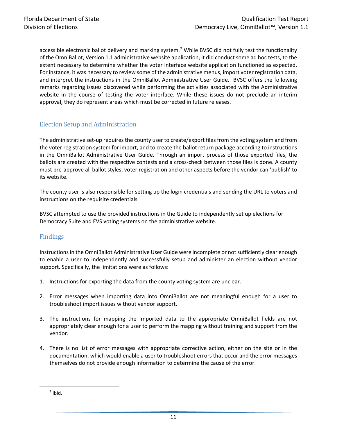accessible electronic ballot delivery and marking system.<sup>[7](#page-10-2)</sup> While BVSC did not fully test the functionality of the OmniBallot, Version 1.1 administrative website application, it did conduct some ad hoc tests, to the extent necessary to determine whether the voter interface website application functioned as expected. For instance, it was necessary to review some of the administrative menus, import voter registration data, and interpret the instructions in the OmniBallot Administrative User Guide. BVSC offers the following remarks regarding issues discovered while performing the activities associated with the Administrative website in the course of testing the voter interface. While these issues do not preclude an interim approval, they do represent areas which must be corrected in future releases.

#### <span id="page-10-0"></span>Election Setup and Administration

The administrative set-up requires the county user to create/export files from the voting system and from the voter registration system for import, and to create the ballot return package according to instructions in the OmniBallot Administrative User Guide. Through an import process of those exported files, the ballots are created with the respective contests and a cross-check between those files is done. A county must pre-approve all ballot styles, voter registration and other aspects before the vendor can 'publish' to its website.

The county user is also responsible for setting up the login credentials and sending the URL to voters and instructions on the requisite credentials

BVSC attempted to use the provided instructions in the Guide to independently set up elections for Democracy Suite and EVS voting systems on the administrative website.

#### <span id="page-10-1"></span>Findings

Instructions in the OmniBallot Administrative User Guide were incomplete or not sufficiently clear enough to enable a user to independently and successfully setup and administer an election without vendor support. Specifically, the limitations were as follows:

- 1. Instructions for exporting the data from the county voting system are unclear.
- 2. Error messages when importing data into OmniBallot are not meaningful enough for a user to troubleshoot import issues without vendor support.
- 3. The instructions for mapping the imported data to the appropriate OmniBallot fields are not appropriately clear enough for a user to perform the mapping without training and support from the vendor.
- 4. There is no list of error messages with appropriate corrective action, either on the site or in the documentation, which would enable a user to troubleshoot errors that occur and the error messages themselves do not provide enough information to determine the cause of the error.

<span id="page-10-2"></span> $<sup>7</sup>$  ibid.</sup>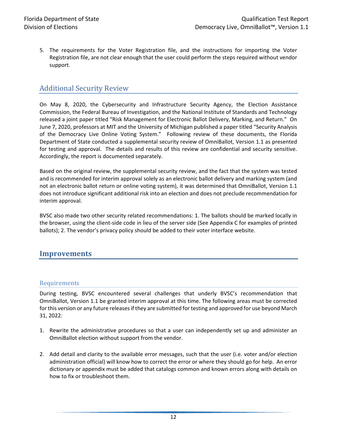5. The requirements for the Voter Registration file, and the instructions for importing the Voter Registration file, are not clear enough that the user could perform the steps required without vendor support.

### <span id="page-11-0"></span>Additional Security Review

On May 8, 2020, the Cybersecurity and Infrastructure Security Agency, the Election Assistance Commission, the Federal Bureau of Investigation, and the National Institute of Standards and Technology released a joint paper titled "Risk Management for Electronic Ballot Delivery, Marking, and Return." On June 7, 2020, professors at MIT and the University of Michigan published a paper titled "Security Analysis of the Democracy Live Online Voting System." Following review of these documents, the Florida Department of State conducted a supplemental security review of OmniBallot, Version 1.1 as presented for testing and approval. The details and results of this review are confidential and security sensitive. Accordingly, the report is documented separately.

Based on the original review, the supplemental security review, and the fact that the system was tested and is recommended for interim approval solely as an electronic ballot delivery and marking system (and not an electronic ballot return or online voting system), it was determined that OmniBallot, Version 1.1 does not introduce significant additional risk into an election and does not preclude recommendation for interim approval.

BVSC also made two other security related recommendations: 1. The ballots should be marked locally in the browser, using the client-side code in lieu of the server side (See Appendix C for examples of printed ballots); 2. The vendor's privacy policy should be added to their voter interface website.

#### <span id="page-11-2"></span><span id="page-11-1"></span>**Improvements**

#### Requirements

During testing, BVSC encountered several challenges that underly BVSC's recommendation that OmniBallot, Version 1.1 be granted interim approval at this time. The following areas must be corrected for this version or any future releases if they are submitted for testing and approved for use beyond March 31, 2022:

- 1. Rewrite the administrative procedures so that a user can independently set up and administer an OmniBallot election without support from the vendor.
- 2. Add detail and clarity to the available error messages, such that the user (i.e. voter and/or election administration official) will know how to correct the error or where they should go for help. An error dictionary or appendix must be added that catalogs common and known errors along with details on how to fix or troubleshoot them.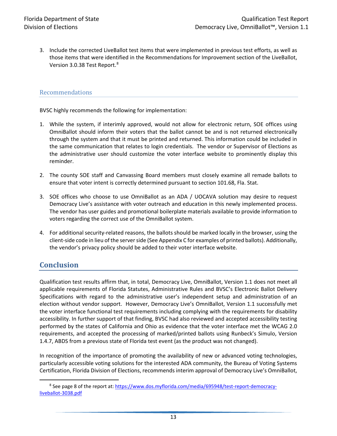3. Include the corrected LiveBallot test items that were implemented in previous test efforts, as well as those items that were identified in the Recommendations for Improvement section of the LiveBallot, Version 3.0.3[8](#page-12-2) Test Report.<sup>8</sup>

#### <span id="page-12-0"></span>Recommendations

BVSC highly recommends the following for implementation:

- 1. While the system, if interimly approved, would not allow for electronic return, SOE offices using OmniBallot should inform their voters that the ballot cannot be and is not returned electronically through the system and that it must be printed and returned. This information could be included in the same communication that relates to login credentials. The vendor or Supervisor of Elections as the administrative user should customize the voter interface website to prominently display this reminder.
- 2. The county SOE staff and Canvassing Board members must closely examine all remade ballots to ensure that voter intent is correctly determined pursuant to section 101.68, Fla. Stat.
- 3. SOE offices who choose to use OmniBallot as an ADA / UOCAVA solution may desire to request Democracy Live's assistance with voter outreach and education in this newly implemented process. The vendor has user guides and promotional boilerplate materials available to provide information to voters regarding the correct use of the OmniBallot system.
- 4. For additional security-related reasons, the ballots should be marked locally in the browser, using the client-side code in lieu of the server side (See Appendix C for examples of printed ballots). Additionally, the vendor's privacy policy should be added to their voter interface website.

#### <span id="page-12-1"></span>**Conclusion**

Qualification test results affirm that, in total, Democracy Live, OmniBallot, Version 1.1 does not meet all applicable requirements of Florida Statutes, Administrative Rules and BVSC's Electronic Ballot Delivery Specifications with regard to the administrative user's independent setup and administration of an election without vendor support. However, Democracy Live's OmniBallot, Version 1.1 successfully met the voter interface functional test requirements including complying with the requirements for disability accessibility. In further support of that finding, BVSC had also reviewed and accepted accessibility testing performed by the states of California and Ohio as evidence that the voter interface met the WCAG 2.0 requirements, and accepted the processing of marked/printed ballots using Runbeck's Simulo, Version 1.4.7, ABDS from a previous state of Florida test event (as the product was not changed).

In recognition of the importance of promoting the availability of new or advanced voting technologies, particularly accessible voting solutions for the interested ADA community, the Bureau of Voting Systems Certification, Florida Division of Elections, recommends interim approval of Democracy Live's OmniBallot,

<span id="page-12-2"></span><sup>&</sup>lt;sup>8</sup> See page 8 of the report at[: https://www.dos.myflorida.com/media/695948/test-report-democracy](https://www.dos.myflorida.com/media/695948/test-report-democracy-liveballot-3038.pdf)[liveballot-3038.pdf](https://www.dos.myflorida.com/media/695948/test-report-democracy-liveballot-3038.pdf)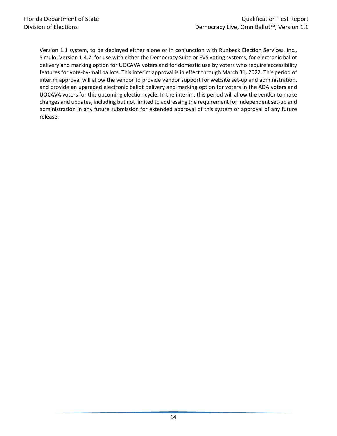Version 1.1 system, to be deployed either alone or in conjunction with Runbeck Election Services, Inc., Simulo, Version 1.4.7, for use with either the Democracy Suite or EVS voting systems, for electronic ballot delivery and marking option for UOCAVA voters and for domestic use by voters who require accessibility features for vote-by-mail ballots. This interim approval is in effect through March 31, 2022. This period of interim approval will allow the vendor to provide vendor support for website set-up and administration, and provide an upgraded electronic ballot delivery and marking option for voters in the ADA voters and UOCAVA voters for this upcoming election cycle. In the interim, this period will allow the vendor to make changes and updates, including but not limited to addressing the requirement for independent set-up and administration in any future submission for extended approval of this system or approval of any future release.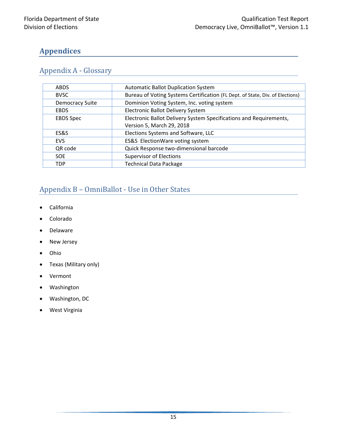# <span id="page-14-0"></span>**Appendices**

# <span id="page-14-1"></span>Appendix A - Glossary

| <b>ABDS</b>            | <b>Automatic Ballot Duplication System</b>                                    |  |
|------------------------|-------------------------------------------------------------------------------|--|
| <b>BVSC</b>            | Bureau of Voting Systems Certification (FL Dept. of State, Div. of Elections) |  |
| <b>Democracy Suite</b> | Dominion Voting System, Inc. voting system                                    |  |
| <b>EBDS</b>            | Electronic Ballot Delivery System                                             |  |
| <b>EBDS Spec</b>       | Electronic Ballot Delivery System Specifications and Requirements,            |  |
|                        | Version 5, March 29, 2018                                                     |  |
| ES&S                   | Elections Systems and Software, LLC                                           |  |
| <b>EVS</b>             | ES&S ElectionWare voting system                                               |  |
| QR code                | Quick Response two-dimensional barcode                                        |  |
| <b>SOE</b>             | <b>Supervisor of Elections</b>                                                |  |
| <b>TDP</b>             | <b>Technical Data Package</b>                                                 |  |

# <span id="page-14-2"></span>Appendix B – OmniBallot - Use in Other States

- California
- Colorado
- Delaware
- New Jersey
- Ohio
- Texas (Military only)
- Vermont
- Washington
- Washington, DC
- West Virginia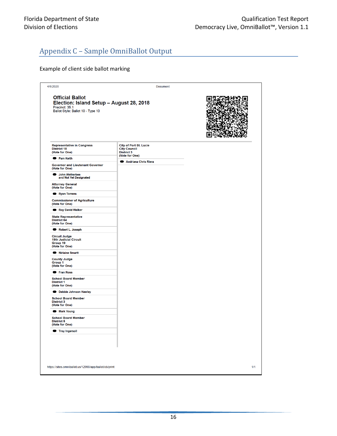# <span id="page-15-0"></span>Appendix C – Sample OmniBallot Output

#### Example of client side ballot marking

| 4/6/2020                                                                                                                  | <b>Document</b>                                                                             |     |
|---------------------------------------------------------------------------------------------------------------------------|---------------------------------------------------------------------------------------------|-----|
| <b>Official Ballot</b><br>Election: Island Setup - August 28, 2018<br>Precinct: 35.1<br>Ballot Style: Ballot 10 - Type 10 |                                                                                             |     |
| <b>Representative in Congress</b><br><b>District 18</b><br>(Vote for One)                                                 | <b>City of Port St. Lucie</b><br><b>City Council</b><br><b>District 3</b><br>(Vote for One) |     |
| <b>Pam Keith</b>                                                                                                          | Andriana Chris Riera                                                                        |     |
| <b>Governor and Lieutenant Governor</b><br>(Vote for One)                                                                 |                                                                                             |     |
| John Wetherbee<br>and Not Yet Designated                                                                                  |                                                                                             |     |
| <b>Attorney General</b><br>(Vote for One)                                                                                 |                                                                                             |     |
| Ryan Torrens                                                                                                              |                                                                                             |     |
| <b>Commissioner of Agriculture</b><br>(Vote for One)                                                                      |                                                                                             |     |
| Roy David Walker                                                                                                          |                                                                                             |     |
| <b>State Representative</b><br><b>District 84</b><br>(Vote for One)                                                       |                                                                                             |     |
| Robert L. Joseph                                                                                                          |                                                                                             |     |
| <b>Circuit Judge</b><br><b>19th Judicial Circuit</b><br>Group 19<br>(Vote for One)                                        |                                                                                             |     |
| Nirlaine Smartt                                                                                                           |                                                                                             |     |
| <b>County Judge</b><br>Group 1<br>(Vote for One)                                                                          |                                                                                             |     |
| <b>Eran Ross</b>                                                                                                          |                                                                                             |     |
| <b>School Board Member</b><br><b>District 1</b><br>(Vote for One)                                                         |                                                                                             |     |
| Debbie Johnson Hawley                                                                                                     |                                                                                             |     |
| <b>School Board Member</b><br><b>District 3</b><br>(Vote for One)                                                         |                                                                                             |     |
| <b>Mark Young</b>                                                                                                         |                                                                                             |     |
| <b>School Board Member</b><br><b>District 5</b><br>(Vote for One)                                                         |                                                                                             |     |
| <b>Troy Ingersoll</b>                                                                                                     |                                                                                             |     |
|                                                                                                                           |                                                                                             |     |
| https://sites.omniballot.us/12990/app/ballot/ob/print                                                                     |                                                                                             | 1/1 |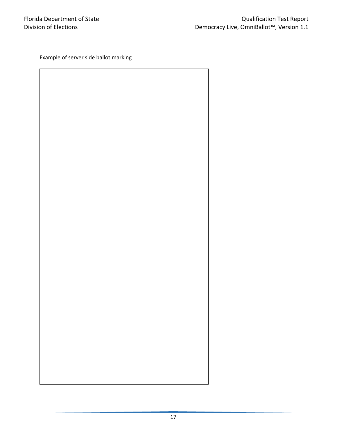Example of server side ballot marking